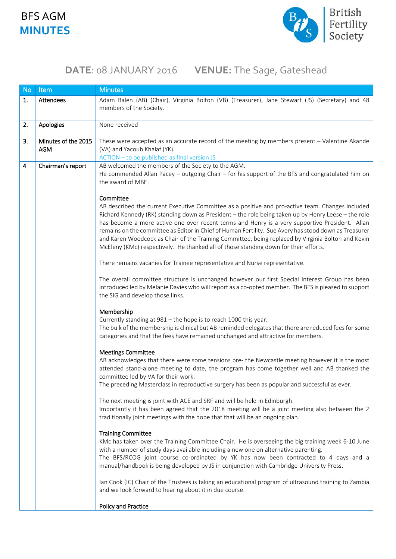### BFS AGM **MINUTES**



# **DATE**: 08 JANUARY 2016 **VENUE:** The Sage, Gateshead

| <b>No</b> | Item                              | <b>Minutes</b>                                                                                                                                                                                                                                                                                                                                                                                                                                                                                                                                                                                                                |
|-----------|-----------------------------------|-------------------------------------------------------------------------------------------------------------------------------------------------------------------------------------------------------------------------------------------------------------------------------------------------------------------------------------------------------------------------------------------------------------------------------------------------------------------------------------------------------------------------------------------------------------------------------------------------------------------------------|
| 1.        | Attendees                         | Adam Balen (AB) (Chair), Virginia Bolton (VB) (Treasurer), Jane Stewart (JS) (Secretary) and 48<br>members of the Society.                                                                                                                                                                                                                                                                                                                                                                                                                                                                                                    |
| 2.        | Apologies                         | None received                                                                                                                                                                                                                                                                                                                                                                                                                                                                                                                                                                                                                 |
| 3.        | Minutes of the 2015<br><b>AGM</b> | These were accepted as an accurate record of the meeting by members present - Valentine Akande<br>(VA) and Yacoub Khalaf (YK).<br>ACTION - to be published as final version JS                                                                                                                                                                                                                                                                                                                                                                                                                                                |
| 4         | Chairman's report                 | AB welcomed the members of the Society to the AGM.<br>He commended Allan Pacey - outgoing Chair - for his support of the BFS and congratulated him on<br>the award of MBE.                                                                                                                                                                                                                                                                                                                                                                                                                                                    |
|           |                                   | Committee<br>AB described the current Executive Committee as a positive and pro-active team. Changes included<br>Richard Kennedy (RK) standing down as President - the role being taken up by Henry Leese - the role<br>has become a more active one over recent terms and Henry is a very supportive President. Allan<br>remains on the committee as Editor in Chief of Human Fertility. Sue Avery has stood down as Treasurer<br>and Karen Woodcock as Chair of the Training Committee, being replaced by Virginia Bolton and Kevin<br>McEleny (KMc) respectively. He thanked all of those standing down for their efforts. |
|           |                                   | There remains vacanies for Trainee representative and Nurse representative.                                                                                                                                                                                                                                                                                                                                                                                                                                                                                                                                                   |
|           |                                   | The overall committee structure is unchanged however our first Special Interest Group has been<br>introduced led by Melanie Davies who will report as a co-opted member. The BFS is pleased to support<br>the SIG and develop those links.                                                                                                                                                                                                                                                                                                                                                                                    |
|           |                                   | Membership<br>Currently standing at 981 - the hope is to reach 1000 this year.<br>The bulk of the membership is clinical but AB reminded delegates that there are reduced fees for some<br>categories and that the fees have remained unchanged and attractive for members.                                                                                                                                                                                                                                                                                                                                                   |
|           |                                   | <b>Meetings Committee</b><br>AB acknowledges that there were some tensions pre- the Newcastle meeting however it is the most<br>attended stand-alone meeting to date, the program has come together well and AB thanked the<br>committee led by VA for their work.<br>The preceding Masterclass in reproductive surgery has been as popular and successful as ever.                                                                                                                                                                                                                                                           |
|           |                                   | The next meeting is joint with ACE and SRF and will be held in Edinburgh.<br>Importantly it has been agreed that the 2018 meeting will be a joint meeting also between the 2<br>traditionally joint meetings with the hope that that will be an ongoing plan.                                                                                                                                                                                                                                                                                                                                                                 |
|           |                                   | <b>Training Committee</b><br>KMc has taken over the Training Committee Chair. He is overseeing the big training week 6-10 June<br>with a number of study days available including a new one on alternative parenting.<br>The BFS/RCOG joint course co-ordinated by YK has now been contracted to 4 days and a<br>manual/handbook is being developed by JS in conjunction with Cambridge University Press.                                                                                                                                                                                                                     |
|           |                                   | Ian Cook (IC) Chair of the Trustees is taking an educational program of ultrasound training to Zambia<br>and we look forward to hearing about it in due course.                                                                                                                                                                                                                                                                                                                                                                                                                                                               |
|           |                                   | <b>Policy and Practice</b>                                                                                                                                                                                                                                                                                                                                                                                                                                                                                                                                                                                                    |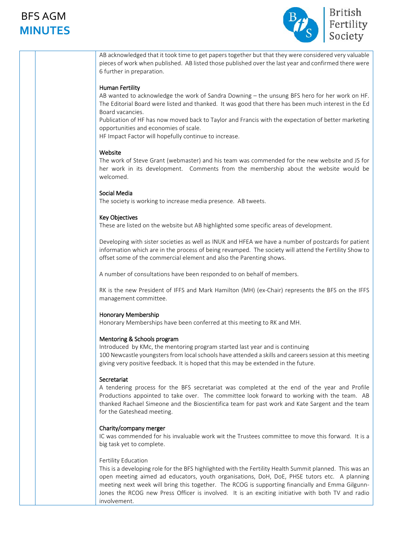### BFS AGM **MINUTES**



AB acknowledged that it took time to get papers together but that they were considered very valuable pieces of work when published. AB listed those published over the last year and confirmed there were 6 further in preparation.

### Human Fertility

AB wanted to acknowledge the work of Sandra Downing – the unsung BFS hero for her work on HF. The Editorial Board were listed and thanked. It was good that there has been much interest in the Ed Board vacancies.

Publication of HF has now moved back to Taylor and Francis with the expectation of better marketing opportunities and economies of scale.

HF Impact Factor will hopefully continue to increase.

#### Website

The work of Steve Grant (webmaster) and his team was commended for the new website and JS for her work in its development. Comments from the membership about the website would be welcomed.

#### Social Media

The society is working to increase media presence. AB tweets.

#### Key Objectives

These are listed on the website but AB highlighted some specific areas of development.

Developing with sister societies as well as INUK and HFEA we have a number of postcards for patient information which are in the process of being revamped. The society will attend the Fertility Show to offset some of the commercial element and also the Parenting shows.

A number of consultations have been responded to on behalf of members.

RK is the new President of IFFS and Mark Hamilton (MH) (ex-Chair) represents the BFS on the IFFS management committee.

#### Honorary Membership

Honorary Memberships have been conferred at this meeting to RK and MH.

#### Mentoring & Schools program

Introduced by KMc, the mentoring program started last year and is continuing 100 Newcastle youngsters from local schools have attended a skills and careers session at this meeting giving very positive feedback. It is hoped that this may be extended in the future.

#### Secretariat

A tendering process for the BFS secretariat was completed at the end of the year and Profile Productions appointed to take over. The committee look forward to working with the team. AB thanked Rachael Simeone and the Bioscientifica team for past work and Kate Sargent and the team for the Gateshead meeting.

#### Charity/company merger

IC was commended for his invaluable work wit the Trustees committee to move this forward. It is a big task yet to complete.

#### Fertility Education

This is a developing role for the BFS highlighted with the Fertility Health Summit planned. This was an open meeting aimed ad educators, youth organisations, DoH, DoE, PHSE tutors etc. A planning meeting next week will bring this together. The RCOG is supporting financially and Emma Gilgunn-Jones the RCOG new Press Officer is involved. It is an exciting initiative with both TV and radio involvement.